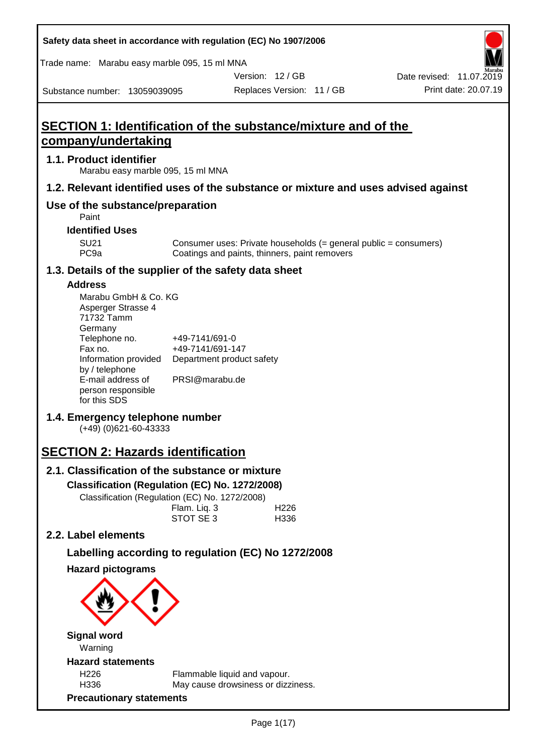| Safety data sheet in accordance with regulation (EC) No 1907/2006                                                                                                                                                                                         |                                                                                   |                           |                          |                                                                  |
|-----------------------------------------------------------------------------------------------------------------------------------------------------------------------------------------------------------------------------------------------------------|-----------------------------------------------------------------------------------|---------------------------|--------------------------|------------------------------------------------------------------|
| Trade name: Marabu easy marble 095, 15 ml MNA                                                                                                                                                                                                             |                                                                                   |                           |                          |                                                                  |
|                                                                                                                                                                                                                                                           |                                                                                   | Version: 12 / GB          |                          | Date revised: 11.07.2019                                         |
| Substance number: 13059039095                                                                                                                                                                                                                             |                                                                                   | Replaces Version: 11 / GB |                          | Print date: 20.07.19                                             |
| <b>SECTION 1: Identification of the substance/mixture and of the</b><br>company/undertaking                                                                                                                                                               |                                                                                   |                           |                          |                                                                  |
| 1.1. Product identifier<br>Marabu easy marble 095, 15 ml MNA                                                                                                                                                                                              |                                                                                   |                           |                          |                                                                  |
| 1.2. Relevant identified uses of the substance or mixture and uses advised against                                                                                                                                                                        |                                                                                   |                           |                          |                                                                  |
| Use of the substance/preparation<br>Paint                                                                                                                                                                                                                 |                                                                                   |                           |                          |                                                                  |
| <b>Identified Uses</b>                                                                                                                                                                                                                                    |                                                                                   |                           |                          |                                                                  |
| <b>SU21</b><br>PC <sub>9a</sub>                                                                                                                                                                                                                           | Coatings and paints, thinners, paint removers                                     |                           |                          | Consumer uses: Private households (= general public = consumers) |
| 1.3. Details of the supplier of the safety data sheet                                                                                                                                                                                                     |                                                                                   |                           |                          |                                                                  |
| <b>Address</b><br>Marabu GmbH & Co. KG<br>Asperger Strasse 4<br>71732 Tamm<br>Germany<br>Telephone no.<br>Fax no.<br>Information provided<br>by / telephone<br>E-mail address of<br>person responsible<br>for this SDS<br>1.4. Emergency telephone number | +49-7141/691-0<br>+49-7141/691-147<br>Department product safety<br>PRSI@marabu.de |                           |                          |                                                                  |
| $(+49)$ (0)621-60-43333                                                                                                                                                                                                                                   |                                                                                   |                           |                          |                                                                  |
| <b>SECTION 2: Hazards identification</b>                                                                                                                                                                                                                  |                                                                                   |                           |                          |                                                                  |
| 2.1. Classification of the substance or mixture                                                                                                                                                                                                           |                                                                                   |                           |                          |                                                                  |
| Classification (Regulation (EC) No. 1272/2008)<br>Classification (Regulation (EC) No. 1272/2008)                                                                                                                                                          | Flam. Liq. 3<br>STOT SE 3                                                         |                           | H <sub>226</sub><br>H336 |                                                                  |
| 2.2. Label elements                                                                                                                                                                                                                                       |                                                                                   |                           |                          |                                                                  |
| Labelling according to regulation (EC) No 1272/2008                                                                                                                                                                                                       |                                                                                   |                           |                          |                                                                  |
| <b>Hazard pictograms</b>                                                                                                                                                                                                                                  |                                                                                   |                           |                          |                                                                  |
| <b>Signal word</b><br>Warning<br><b>Hazard statements</b>                                                                                                                                                                                                 |                                                                                   |                           |                          |                                                                  |
| H <sub>226</sub><br>H336<br><b>Precautionary statements</b>                                                                                                                                                                                               | Flammable liquid and vapour.<br>May cause drowsiness or dizziness.                |                           |                          |                                                                  |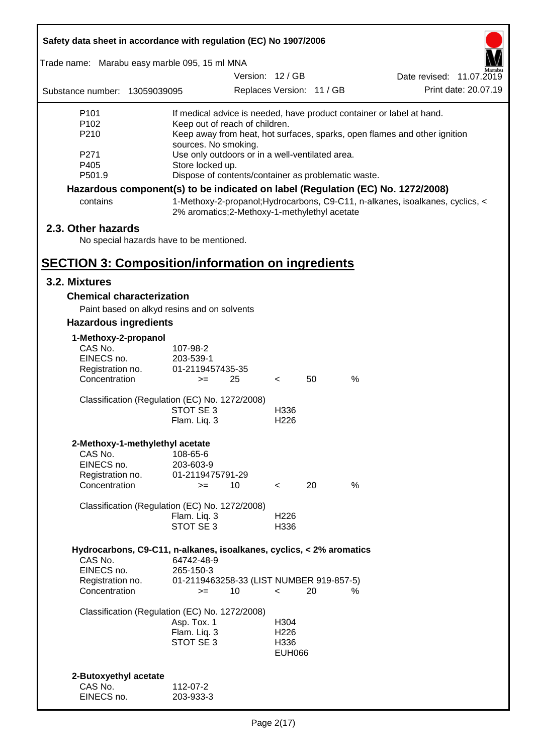| Safety data sheet in accordance with regulation (EC) No 1907/2006    |                                                                         |  |                          |                           |                                                                                 |                          |
|----------------------------------------------------------------------|-------------------------------------------------------------------------|--|--------------------------|---------------------------|---------------------------------------------------------------------------------|--------------------------|
| Trade name: Marabu easy marble 095, 15 ml MNA                        |                                                                         |  |                          |                           |                                                                                 |                          |
|                                                                      |                                                                         |  | Version: 12 / GB         |                           |                                                                                 | Date revised: 11.07.2019 |
| Substance number: 13059039095                                        |                                                                         |  |                          | Replaces Version: 11 / GB |                                                                                 | Print date: 20.07.19     |
| P <sub>101</sub>                                                     |                                                                         |  |                          |                           | If medical advice is needed, have product container or label at hand.           |                          |
| P <sub>102</sub>                                                     | Keep out of reach of children.                                          |  |                          |                           |                                                                                 |                          |
| P210                                                                 |                                                                         |  |                          |                           | Keep away from heat, hot surfaces, sparks, open flames and other ignition       |                          |
| P271                                                                 | sources. No smoking.<br>Use only outdoors or in a well-ventilated area. |  |                          |                           |                                                                                 |                          |
| P405                                                                 | Store locked up.                                                        |  |                          |                           |                                                                                 |                          |
| P501.9                                                               | Dispose of contents/container as problematic waste.                     |  |                          |                           |                                                                                 |                          |
|                                                                      |                                                                         |  |                          |                           | Hazardous component(s) to be indicated on label (Regulation (EC) No. 1272/2008) |                          |
| contains                                                             | 2% aromatics;2-Methoxy-1-methylethyl acetate                            |  |                          |                           | 1-Methoxy-2-propanol; Hydrocarbons, C9-C11, n-alkanes, isoalkanes, cyclics, <   |                          |
| 2.3. Other hazards                                                   |                                                                         |  |                          |                           |                                                                                 |                          |
|                                                                      | No special hazards have to be mentioned.                                |  |                          |                           |                                                                                 |                          |
|                                                                      |                                                                         |  |                          |                           |                                                                                 |                          |
| <b>SECTION 3: Composition/information on ingredients</b>             |                                                                         |  |                          |                           |                                                                                 |                          |
| 3.2. Mixtures                                                        |                                                                         |  |                          |                           |                                                                                 |                          |
| <b>Chemical characterization</b>                                     |                                                                         |  |                          |                           |                                                                                 |                          |
|                                                                      | Paint based on alkyd resins and on solvents                             |  |                          |                           |                                                                                 |                          |
| <b>Hazardous ingredients</b>                                         |                                                                         |  |                          |                           |                                                                                 |                          |
| 1-Methoxy-2-propanol                                                 |                                                                         |  |                          |                           |                                                                                 |                          |
| CAS No.                                                              | 107-98-2                                                                |  |                          |                           |                                                                                 |                          |
| EINECS no.                                                           | 203-539-1                                                               |  |                          |                           |                                                                                 |                          |
| Registration no.                                                     | 01-2119457435-35                                                        |  |                          |                           |                                                                                 |                          |
| Concentration                                                        | 25<br>$>=$                                                              |  | $\prec$                  | 50                        | %                                                                               |                          |
|                                                                      | Classification (Regulation (EC) No. 1272/2008)                          |  |                          |                           |                                                                                 |                          |
|                                                                      | STOT SE 3                                                               |  | H336                     |                           |                                                                                 |                          |
|                                                                      | Flam. Liq. 3                                                            |  | H <sub>226</sub>         |                           |                                                                                 |                          |
| 2-Methoxy-1-methylethyl acetate                                      |                                                                         |  |                          |                           |                                                                                 |                          |
| CAS No.                                                              | 108-65-6                                                                |  |                          |                           |                                                                                 |                          |
| EINECS no.                                                           | 203-603-9                                                               |  |                          |                           |                                                                                 |                          |
| Registration no.<br>Concentration                                    | 01-2119475791-29<br>10<br>$=$                                           |  | $\lt$                    | 20                        | %                                                                               |                          |
|                                                                      |                                                                         |  |                          |                           |                                                                                 |                          |
|                                                                      | Classification (Regulation (EC) No. 1272/2008)                          |  |                          |                           |                                                                                 |                          |
|                                                                      | Flam. Liq. 3                                                            |  | H <sub>226</sub>         |                           |                                                                                 |                          |
|                                                                      | STOT SE 3                                                               |  | H336                     |                           |                                                                                 |                          |
| Hydrocarbons, C9-C11, n-alkanes, isoalkanes, cyclics, < 2% aromatics |                                                                         |  |                          |                           |                                                                                 |                          |
| CAS No.                                                              | 64742-48-9                                                              |  |                          |                           |                                                                                 |                          |
| EINECS no.                                                           | 265-150-3                                                               |  |                          |                           |                                                                                 |                          |
| Registration no.                                                     | 01-2119463258-33 (LIST NUMBER 919-857-5)                                |  |                          |                           |                                                                                 |                          |
| Concentration                                                        | 10<br>$=$                                                               |  | $\overline{\phantom{0}}$ | 20                        | ℅                                                                               |                          |
|                                                                      | Classification (Regulation (EC) No. 1272/2008)                          |  |                          |                           |                                                                                 |                          |
|                                                                      | Asp. Tox. 1                                                             |  | H304                     |                           |                                                                                 |                          |
|                                                                      | Flam. Liq. 3                                                            |  | H <sub>226</sub>         |                           |                                                                                 |                          |
|                                                                      | STOT SE 3                                                               |  | H336<br><b>EUH066</b>    |                           |                                                                                 |                          |
|                                                                      |                                                                         |  |                          |                           |                                                                                 |                          |
| 2-Butoxyethyl acetate                                                |                                                                         |  |                          |                           |                                                                                 |                          |
| CAS No.                                                              | 112-07-2                                                                |  |                          |                           |                                                                                 |                          |
| EINECS no.                                                           | 203-933-3                                                               |  |                          |                           |                                                                                 |                          |
|                                                                      |                                                                         |  |                          |                           |                                                                                 |                          |

ī

Г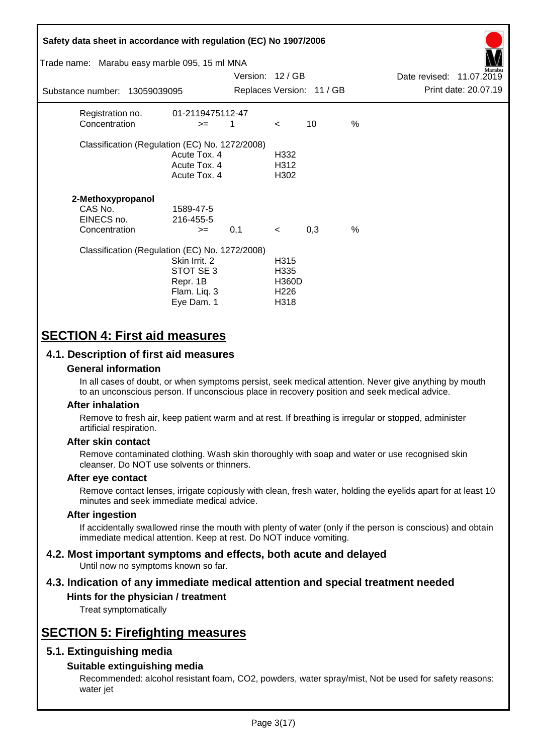| Safety data sheet in accordance with regulation (EC) No 1907/2006<br>Trade name: Marabu easy marble 095, 15 ml MNA |                                                                      | Version: 12/GB |                                                          |                           |               | Date revised: 11.07.2019 | farabu               |
|--------------------------------------------------------------------------------------------------------------------|----------------------------------------------------------------------|----------------|----------------------------------------------------------|---------------------------|---------------|--------------------------|----------------------|
| Substance number: 13059039095                                                                                      |                                                                      |                |                                                          | Replaces Version: 11 / GB |               |                          | Print date: 20.07.19 |
| Registration no.<br>Concentration                                                                                  | 01-2119475112-47<br>$>=$                                             | 1              | $\lt$                                                    | 10                        | $\frac{0}{0}$ |                          |                      |
| Classification (Regulation (EC) No. 1272/2008)                                                                     | Acute Tox. 4<br>Acute Tox. 4<br>Acute Tox. 4                         |                | H332<br>H312<br>H302                                     |                           |               |                          |                      |
| 2-Methoxypropanol<br>CAS No.<br>EINECS no.<br>Concentration                                                        | 1589-47-5<br>216-455-5<br>$>=$                                       | 0,1            | $\prec$                                                  | 0,3                       | %             |                          |                      |
| Classification (Regulation (EC) No. 1272/2008)                                                                     | Skin Irrit, 2<br>STOT SE 3<br>Repr. 1B<br>Flam. Liq. 3<br>Eye Dam. 1 |                | H315<br>H335<br><b>H360D</b><br>H <sub>226</sub><br>H318 |                           |               |                          |                      |

# **SECTION 4: First aid measures**

## **4.1. Description of first aid measures**

### **General information**

In all cases of doubt, or when symptoms persist, seek medical attention. Never give anything by mouth to an unconscious person. If unconscious place in recovery position and seek medical advice.

#### **After inhalation**

Remove to fresh air, keep patient warm and at rest. If breathing is irregular or stopped, administer artificial respiration.

#### **After skin contact**

Remove contaminated clothing. Wash skin thoroughly with soap and water or use recognised skin cleanser. Do NOT use solvents or thinners.

#### **After eye contact**

Remove contact lenses, irrigate copiously with clean, fresh water, holding the eyelids apart for at least 10 minutes and seek immediate medical advice.

#### **After ingestion**

If accidentally swallowed rinse the mouth with plenty of water (only if the person is conscious) and obtain immediate medical attention. Keep at rest. Do NOT induce vomiting.

#### **4.2. Most important symptoms and effects, both acute and delayed** Until now no symptoms known so far.

# **4.3. Indication of any immediate medical attention and special treatment needed**

# **Hints for the physician / treatment**

Treat symptomatically

# **SECTION 5: Firefighting measures**

## **5.1. Extinguishing media**

### **Suitable extinguishing media**

Recommended: alcohol resistant foam, CO2, powders, water spray/mist, Not be used for safety reasons: water jet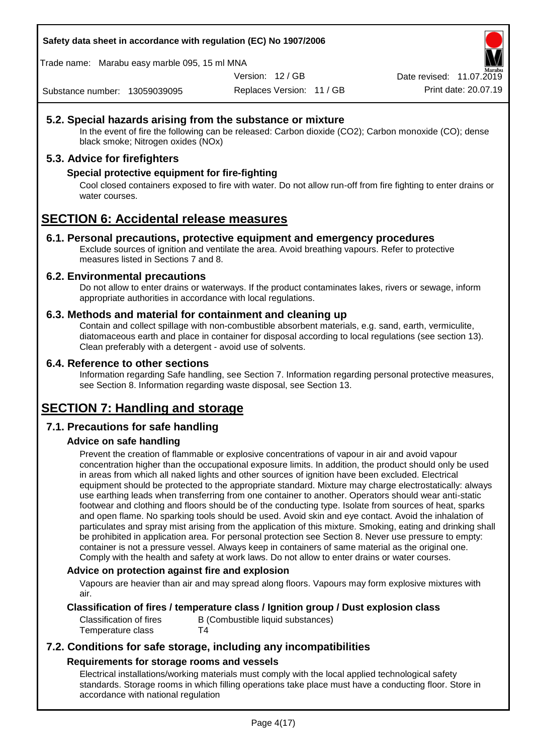**Safety data sheet in accordance with regulation (EC) No 1907/2006**

Trade name: Marabu easy marble 095, 15 ml MNA

Version: 12 / GB

Replaces Version: 11 / GB Print date: 20.07.19 Date revised: 11.07.2019

Substance number: 13059039095

# **5.2. Special hazards arising from the substance or mixture**

In the event of fire the following can be released: Carbon dioxide (CO2); Carbon monoxide (CO); dense black smoke; Nitrogen oxides (NOx)

# **5.3. Advice for firefighters**

### **Special protective equipment for fire-fighting**

Cool closed containers exposed to fire with water. Do not allow run-off from fire fighting to enter drains or water courses.

# **SECTION 6: Accidental release measures**

### **6.1. Personal precautions, protective equipment and emergency procedures**

Exclude sources of ignition and ventilate the area. Avoid breathing vapours. Refer to protective measures listed in Sections 7 and 8.

### **6.2. Environmental precautions**

Do not allow to enter drains or waterways. If the product contaminates lakes, rivers or sewage, inform appropriate authorities in accordance with local regulations.

### **6.3. Methods and material for containment and cleaning up**

Contain and collect spillage with non-combustible absorbent materials, e.g. sand, earth, vermiculite, diatomaceous earth and place in container for disposal according to local regulations (see section 13). Clean preferably with a detergent - avoid use of solvents.

### **6.4. Reference to other sections**

Information regarding Safe handling, see Section 7. Information regarding personal protective measures, see Section 8. Information regarding waste disposal, see Section 13.

# **SECTION 7: Handling and storage**

## **7.1. Precautions for safe handling**

## **Advice on safe handling**

Prevent the creation of flammable or explosive concentrations of vapour in air and avoid vapour concentration higher than the occupational exposure limits. In addition, the product should only be used in areas from which all naked lights and other sources of ignition have been excluded. Electrical equipment should be protected to the appropriate standard. Mixture may charge electrostatically: always use earthing leads when transferring from one container to another. Operators should wear anti-static footwear and clothing and floors should be of the conducting type. Isolate from sources of heat, sparks and open flame. No sparking tools should be used. Avoid skin and eye contact. Avoid the inhalation of particulates and spray mist arising from the application of this mixture. Smoking, eating and drinking shall be prohibited in application area. For personal protection see Section 8. Never use pressure to empty: container is not a pressure vessel. Always keep in containers of same material as the original one. Comply with the health and safety at work laws. Do not allow to enter drains or water courses.

### **Advice on protection against fire and explosion**

Vapours are heavier than air and may spread along floors. Vapours may form explosive mixtures with air.

## **Classification of fires / temperature class / Ignition group / Dust explosion class**

Temperature class T4

Classification of fires B (Combustible liquid substances)

# **7.2. Conditions for safe storage, including any incompatibilities Requirements for storage rooms and vessels**

Electrical installations/working materials must comply with the local applied technological safety standards. Storage rooms in which filling operations take place must have a conducting floor. Store in accordance with national regulation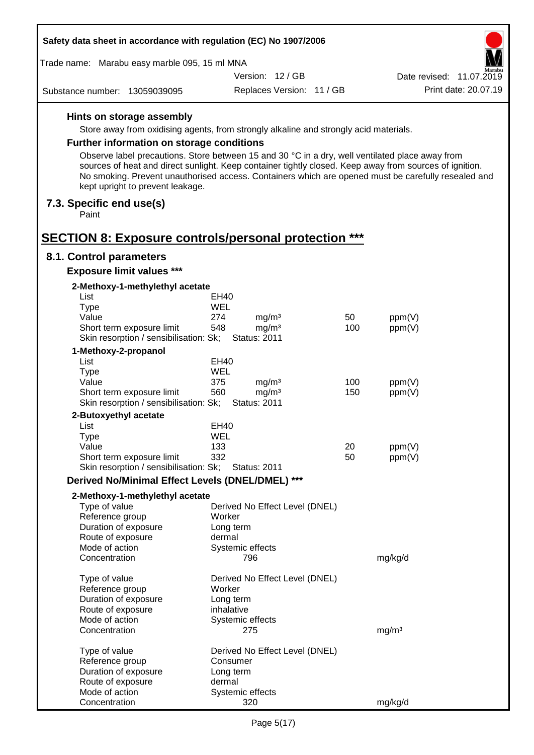| Safety data sheet in accordance with regulation (EC) No 1907/2006                                                                   |            |                                          |     |                                                                                                                                                                                                                |  |  |
|-------------------------------------------------------------------------------------------------------------------------------------|------------|------------------------------------------|-----|----------------------------------------------------------------------------------------------------------------------------------------------------------------------------------------------------------------|--|--|
| Trade name: Marabu easy marble 095, 15 ml MNA                                                                                       |            |                                          |     |                                                                                                                                                                                                                |  |  |
|                                                                                                                                     |            | Version: 12/GB                           |     | farabu<br>Date revised: 11.07.2019                                                                                                                                                                             |  |  |
| Substance number: 13059039095                                                                                                       |            | Replaces Version: 11 / GB                |     | Print date: 20.07.19                                                                                                                                                                                           |  |  |
| Hints on storage assembly                                                                                                           |            |                                          |     |                                                                                                                                                                                                                |  |  |
| Store away from oxidising agents, from strongly alkaline and strongly acid materials.                                               |            |                                          |     |                                                                                                                                                                                                                |  |  |
| <b>Further information on storage conditions</b>                                                                                    |            |                                          |     |                                                                                                                                                                                                                |  |  |
|                                                                                                                                     |            |                                          |     |                                                                                                                                                                                                                |  |  |
| Observe label precautions. Store between 15 and 30 °C in a dry, well ventilated place away from<br>kept upright to prevent leakage. |            |                                          |     | sources of heat and direct sunlight. Keep container tightly closed. Keep away from sources of ignition.<br>No smoking. Prevent unauthorised access. Containers which are opened must be carefully resealed and |  |  |
| 7.3. Specific end use(s)<br>Paint                                                                                                   |            |                                          |     |                                                                                                                                                                                                                |  |  |
| <b>SECTION 8: Exposure controls/personal protection ***</b>                                                                         |            |                                          |     |                                                                                                                                                                                                                |  |  |
| 8.1. Control parameters                                                                                                             |            |                                          |     |                                                                                                                                                                                                                |  |  |
| <b>Exposure limit values ***</b>                                                                                                    |            |                                          |     |                                                                                                                                                                                                                |  |  |
| 2-Methoxy-1-methylethyl acetate                                                                                                     |            |                                          |     |                                                                                                                                                                                                                |  |  |
| List                                                                                                                                | EH40       |                                          |     |                                                                                                                                                                                                                |  |  |
| <b>Type</b>                                                                                                                         | <b>WEL</b> |                                          | 50  |                                                                                                                                                                                                                |  |  |
| Value<br>Short term exposure limit                                                                                                  | 274<br>548 | mg/m <sup>3</sup><br>mg/m <sup>3</sup>   | 100 | ppm(V)<br>ppm(V)                                                                                                                                                                                               |  |  |
| Skin resorption / sensibilisation: Sk;                                                                                              |            | <b>Status: 2011</b>                      |     |                                                                                                                                                                                                                |  |  |
| 1-Methoxy-2-propanol                                                                                                                |            |                                          |     |                                                                                                                                                                                                                |  |  |
| List                                                                                                                                | EH40       |                                          |     |                                                                                                                                                                                                                |  |  |
| <b>Type</b>                                                                                                                         | WEL        |                                          |     |                                                                                                                                                                                                                |  |  |
| Value                                                                                                                               | 375        | mg/m <sup>3</sup>                        | 100 | ppm(V)                                                                                                                                                                                                         |  |  |
| Short term exposure limit<br>Skin resorption / sensibilisation: Sk;                                                                 | 560        | mg/m <sup>3</sup><br><b>Status: 2011</b> | 150 | ppm(V)                                                                                                                                                                                                         |  |  |
| 2-Butoxyethyl acetate                                                                                                               |            |                                          |     |                                                                                                                                                                                                                |  |  |
| List                                                                                                                                | EH40       |                                          |     |                                                                                                                                                                                                                |  |  |
| Type                                                                                                                                | WEL        |                                          |     |                                                                                                                                                                                                                |  |  |
| Value                                                                                                                               | 133        |                                          | 20  | ppm(V)                                                                                                                                                                                                         |  |  |
| Short term exposure limit                                                                                                           | 332        |                                          | 50  | ppm(V)                                                                                                                                                                                                         |  |  |
| Skin resorption / sensibilisation: Sk;<br>Derived No/Minimal Effect Levels (DNEL/DMEL) ***                                          |            | <b>Status: 2011</b>                      |     |                                                                                                                                                                                                                |  |  |
|                                                                                                                                     |            |                                          |     |                                                                                                                                                                                                                |  |  |
| 2-Methoxy-1-methylethyl acetate<br>Type of value                                                                                    |            | Derived No Effect Level (DNEL)           |     |                                                                                                                                                                                                                |  |  |
| Reference group                                                                                                                     |            | Worker                                   |     |                                                                                                                                                                                                                |  |  |
| Duration of exposure                                                                                                                |            | Long term                                |     |                                                                                                                                                                                                                |  |  |
| Route of exposure                                                                                                                   |            | dermal                                   |     |                                                                                                                                                                                                                |  |  |
| Mode of action                                                                                                                      |            | Systemic effects                         |     |                                                                                                                                                                                                                |  |  |
| Concentration                                                                                                                       |            | 796                                      |     | mg/kg/d                                                                                                                                                                                                        |  |  |
| Type of value                                                                                                                       |            | Derived No Effect Level (DNEL)           |     |                                                                                                                                                                                                                |  |  |
| Reference group                                                                                                                     |            | Worker                                   |     |                                                                                                                                                                                                                |  |  |
| Duration of exposure                                                                                                                |            | Long term                                |     |                                                                                                                                                                                                                |  |  |
| Route of exposure                                                                                                                   |            | inhalative                               |     |                                                                                                                                                                                                                |  |  |
| Mode of action                                                                                                                      |            | Systemic effects                         |     |                                                                                                                                                                                                                |  |  |
| Concentration                                                                                                                       |            | 275                                      |     | mg/m <sup>3</sup>                                                                                                                                                                                              |  |  |
| Type of value                                                                                                                       |            | Derived No Effect Level (DNEL)           |     |                                                                                                                                                                                                                |  |  |
| Reference group                                                                                                                     |            | Consumer                                 |     |                                                                                                                                                                                                                |  |  |
| Duration of exposure                                                                                                                |            | Long term                                |     |                                                                                                                                                                                                                |  |  |
| Route of exposure                                                                                                                   | dermal     |                                          |     |                                                                                                                                                                                                                |  |  |
| Mode of action                                                                                                                      |            | Systemic effects                         |     |                                                                                                                                                                                                                |  |  |
| Concentration                                                                                                                       |            | 320                                      |     | mg/kg/d                                                                                                                                                                                                        |  |  |

 $\Gamma$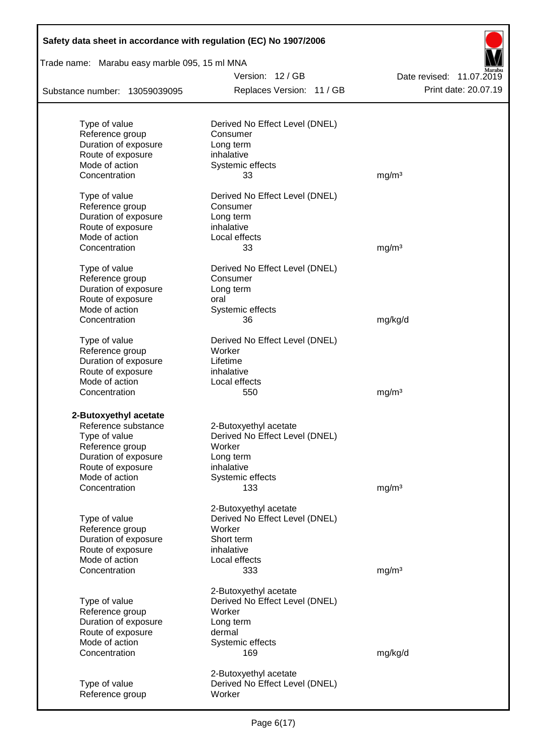| Safety data sheet in accordance with regulation (EC) No 1907/2006 |                                            |                          |
|-------------------------------------------------------------------|--------------------------------------------|--------------------------|
| Trade name: Marabu easy marble 095, 15 ml MNA                     |                                            |                          |
|                                                                   | Version: 12/GB                             | Date revised: 11.07.2019 |
| Substance number: 13059039095                                     | Replaces Version: 11 / GB                  | Print date: 20.07.19     |
|                                                                   |                                            |                          |
| Type of value<br>Reference group                                  | Derived No Effect Level (DNEL)<br>Consumer |                          |
| Duration of exposure                                              | Long term                                  |                          |
| Route of exposure                                                 | inhalative                                 |                          |
| Mode of action                                                    | Systemic effects                           |                          |
| Concentration                                                     | 33                                         | mg/m <sup>3</sup>        |
| Type of value                                                     | Derived No Effect Level (DNEL)             |                          |
| Reference group                                                   | Consumer                                   |                          |
| Duration of exposure                                              | Long term                                  |                          |
| Route of exposure                                                 | inhalative                                 |                          |
| Mode of action                                                    | Local effects                              |                          |
| Concentration                                                     | 33                                         | mg/m <sup>3</sup>        |
| Type of value                                                     | Derived No Effect Level (DNEL)             |                          |
| Reference group                                                   | Consumer                                   |                          |
| Duration of exposure                                              | Long term                                  |                          |
| Route of exposure                                                 | oral                                       |                          |
| Mode of action                                                    | Systemic effects                           |                          |
| Concentration                                                     | 36                                         | mg/kg/d                  |
| Type of value                                                     | Derived No Effect Level (DNEL)             |                          |
| Reference group                                                   | Worker                                     |                          |
| Duration of exposure                                              | Lifetime                                   |                          |
| Route of exposure                                                 | inhalative                                 |                          |
| Mode of action                                                    | Local effects                              |                          |
| Concentration                                                     | 550                                        | mg/m <sup>3</sup>        |
| 2-Butoxyethyl acetate                                             |                                            |                          |
| Reference substance                                               | 2-Butoxyethyl acetate                      |                          |
| Type of value                                                     | Derived No Effect Level (DNEL)             |                          |
| Reference group                                                   | Worker                                     |                          |
| Duration of exposure                                              | Long term                                  |                          |
| Route of exposure                                                 | inhalative                                 |                          |
| Mode of action                                                    | Systemic effects                           |                          |
| Concentration                                                     | 133                                        | mg/m <sup>3</sup>        |
|                                                                   | 2-Butoxyethyl acetate                      |                          |
| Type of value                                                     | Derived No Effect Level (DNEL)             |                          |
| Reference group                                                   | Worker                                     |                          |
| Duration of exposure                                              | Short term                                 |                          |
| Route of exposure                                                 | inhalative                                 |                          |
| Mode of action                                                    | Local effects                              |                          |
| Concentration                                                     | 333                                        | mg/m <sup>3</sup>        |
|                                                                   | 2-Butoxyethyl acetate                      |                          |
| Type of value                                                     | Derived No Effect Level (DNEL)             |                          |
| Reference group                                                   | Worker                                     |                          |
| Duration of exposure                                              | Long term                                  |                          |
| Route of exposure                                                 | dermal                                     |                          |
| Mode of action                                                    | Systemic effects                           |                          |
| Concentration                                                     | 169                                        | mg/kg/d                  |
|                                                                   | 2-Butoxyethyl acetate                      |                          |
| Type of value                                                     | Derived No Effect Level (DNEL)             |                          |
| Reference group                                                   | Worker                                     |                          |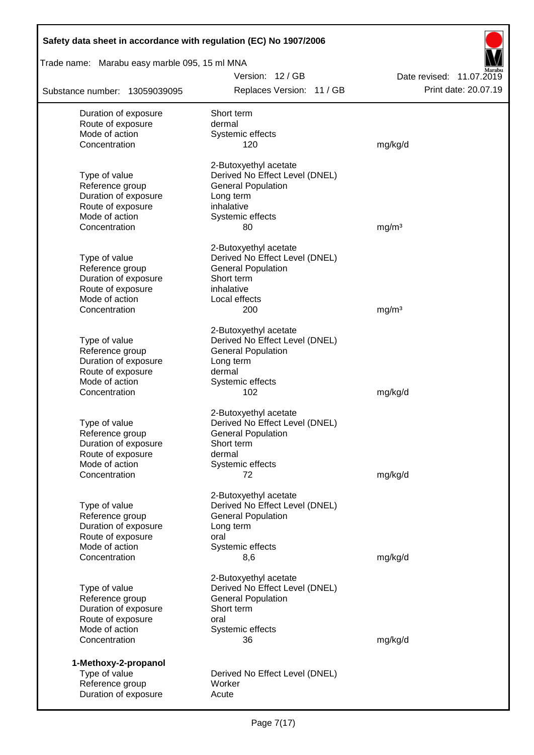| Safety data sheet in accordance with regulation (EC) No 1907/2006 |                                                             |                          |  |  |  |  |
|-------------------------------------------------------------------|-------------------------------------------------------------|--------------------------|--|--|--|--|
| Trade name: Marabu easy marble 095, 15 ml MNA                     |                                                             |                          |  |  |  |  |
|                                                                   | Version: 12/GB                                              | Date revised: 11.07.2019 |  |  |  |  |
| Substance number: 13059039095                                     | Replaces Version: 11 / GB                                   | Print date: 20.07.19     |  |  |  |  |
| Duration of exposure                                              | Short term                                                  |                          |  |  |  |  |
| Route of exposure                                                 | dermal                                                      |                          |  |  |  |  |
| Mode of action                                                    | Systemic effects                                            |                          |  |  |  |  |
| Concentration                                                     | 120                                                         | mg/kg/d                  |  |  |  |  |
|                                                                   | 2-Butoxyethyl acetate                                       |                          |  |  |  |  |
| Type of value                                                     | Derived No Effect Level (DNEL)                              |                          |  |  |  |  |
| Reference group                                                   | <b>General Population</b>                                   |                          |  |  |  |  |
| Duration of exposure                                              | Long term                                                   |                          |  |  |  |  |
| Route of exposure                                                 | inhalative                                                  |                          |  |  |  |  |
| Mode of action                                                    | Systemic effects                                            |                          |  |  |  |  |
| Concentration                                                     | 80                                                          | mg/m <sup>3</sup>        |  |  |  |  |
|                                                                   | 2-Butoxyethyl acetate                                       |                          |  |  |  |  |
| Type of value                                                     | Derived No Effect Level (DNEL)                              |                          |  |  |  |  |
| Reference group                                                   | <b>General Population</b>                                   |                          |  |  |  |  |
| Duration of exposure                                              | Short term                                                  |                          |  |  |  |  |
| Route of exposure<br>Mode of action                               | inhalative                                                  |                          |  |  |  |  |
| Concentration                                                     | Local effects<br>200                                        | mg/m <sup>3</sup>        |  |  |  |  |
|                                                                   |                                                             |                          |  |  |  |  |
|                                                                   | 2-Butoxyethyl acetate                                       |                          |  |  |  |  |
| Type of value                                                     | Derived No Effect Level (DNEL)                              |                          |  |  |  |  |
| Reference group                                                   | <b>General Population</b>                                   |                          |  |  |  |  |
| Duration of exposure                                              | Long term                                                   |                          |  |  |  |  |
| Route of exposure                                                 | dermal                                                      |                          |  |  |  |  |
| Mode of action<br>Concentration                                   | Systemic effects<br>102                                     | mg/kg/d                  |  |  |  |  |
|                                                                   |                                                             |                          |  |  |  |  |
|                                                                   | 2-Butoxyethyl acetate                                       |                          |  |  |  |  |
| Type of value                                                     | Derived No Effect Level (DNEL)<br><b>General Population</b> |                          |  |  |  |  |
| Reference group<br>Duration of exposure                           | Short term                                                  |                          |  |  |  |  |
| Route of exposure                                                 | dermal                                                      |                          |  |  |  |  |
| Mode of action                                                    | Systemic effects                                            |                          |  |  |  |  |
| Concentration                                                     | 72                                                          | mg/kg/d                  |  |  |  |  |
|                                                                   |                                                             |                          |  |  |  |  |
|                                                                   | 2-Butoxyethyl acetate                                       |                          |  |  |  |  |
| Type of value                                                     | Derived No Effect Level (DNEL)                              |                          |  |  |  |  |
| Reference group                                                   | <b>General Population</b>                                   |                          |  |  |  |  |
| Duration of exposure<br>Route of exposure                         | Long term<br>oral                                           |                          |  |  |  |  |
| Mode of action                                                    | Systemic effects                                            |                          |  |  |  |  |
| Concentration                                                     | 8,6                                                         | mg/kg/d                  |  |  |  |  |
|                                                                   | 2-Butoxyethyl acetate                                       |                          |  |  |  |  |
| Type of value                                                     | Derived No Effect Level (DNEL)                              |                          |  |  |  |  |
| Reference group                                                   | <b>General Population</b>                                   |                          |  |  |  |  |
| Duration of exposure                                              | Short term                                                  |                          |  |  |  |  |
| Route of exposure                                                 | oral                                                        |                          |  |  |  |  |
| Mode of action                                                    | Systemic effects                                            |                          |  |  |  |  |
| Concentration                                                     | 36                                                          | mg/kg/d                  |  |  |  |  |
| 1-Methoxy-2-propanol                                              |                                                             |                          |  |  |  |  |
| Type of value                                                     | Derived No Effect Level (DNEL)                              |                          |  |  |  |  |
| Reference group                                                   | Worker                                                      |                          |  |  |  |  |
| Duration of exposure                                              | Acute                                                       |                          |  |  |  |  |
|                                                                   |                                                             |                          |  |  |  |  |

Г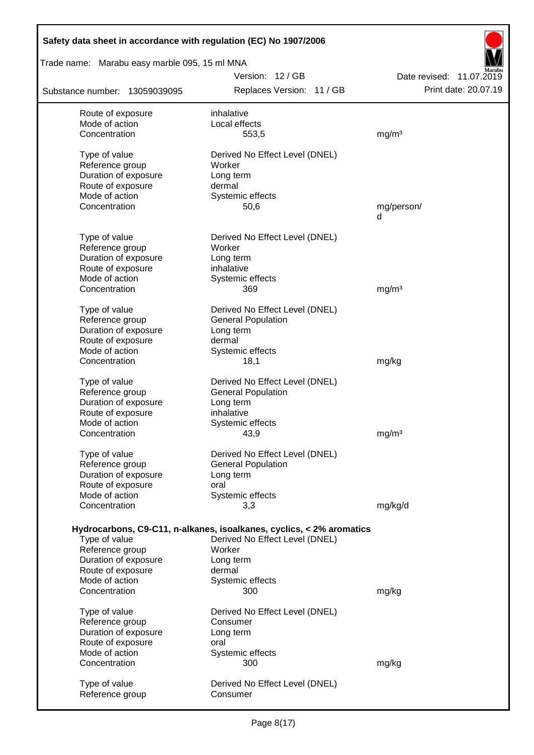| Safety data sheet in accordance with regulation (EC) No 1907/2006 |                                                                      |                          |
|-------------------------------------------------------------------|----------------------------------------------------------------------|--------------------------|
| Trade name: Marabu easy marble 095, 15 ml MNA                     |                                                                      |                          |
|                                                                   | Version: 12/GB                                                       | Date revised: 11.07.2019 |
| Substance number: 13059039095                                     | Replaces Version: 11 / GB                                            | Print date: 20.07.19     |
| Route of exposure                                                 | inhalative                                                           |                          |
| Mode of action                                                    | Local effects                                                        |                          |
| Concentration                                                     | 553,5                                                                | mg/m <sup>3</sup>        |
| Type of value                                                     | Derived No Effect Level (DNEL)                                       |                          |
| Reference group                                                   | Worker                                                               |                          |
| Duration of exposure                                              | Long term                                                            |                          |
| Route of exposure                                                 | dermal                                                               |                          |
| Mode of action                                                    | Systemic effects                                                     |                          |
| Concentration                                                     | 50,6                                                                 | mg/person/<br>d          |
| Type of value                                                     | Derived No Effect Level (DNEL)                                       |                          |
| Reference group                                                   | Worker                                                               |                          |
| Duration of exposure                                              | Long term                                                            |                          |
| Route of exposure                                                 | inhalative                                                           |                          |
| Mode of action                                                    | Systemic effects                                                     |                          |
| Concentration                                                     | 369                                                                  | mg/m <sup>3</sup>        |
| Type of value                                                     | Derived No Effect Level (DNEL)                                       |                          |
| Reference group                                                   | <b>General Population</b>                                            |                          |
| Duration of exposure                                              | Long term                                                            |                          |
| Route of exposure                                                 | dermal                                                               |                          |
| Mode of action                                                    | Systemic effects                                                     |                          |
| Concentration                                                     | 18,1                                                                 | mg/kg                    |
| Type of value                                                     | Derived No Effect Level (DNEL)                                       |                          |
| Reference group                                                   | <b>General Population</b>                                            |                          |
| Duration of exposure                                              | Long term                                                            |                          |
| Route of exposure                                                 | inhalative                                                           |                          |
| Mode of action                                                    | Systemic effects                                                     |                          |
| Concentration                                                     | 43,9                                                                 | mg/m <sup>3</sup>        |
| Type of value                                                     | Derived No Effect Level (DNEL)                                       |                          |
| Reference group                                                   | <b>General Population</b>                                            |                          |
| Duration of exposure                                              | Long term                                                            |                          |
| Route of exposure                                                 | oral                                                                 |                          |
| Mode of action                                                    | Systemic effects                                                     |                          |
| Concentration                                                     | 3,3                                                                  | mg/kg/d                  |
|                                                                   | Hydrocarbons, C9-C11, n-alkanes, isoalkanes, cyclics, < 2% aromatics |                          |
| Type of value                                                     | Derived No Effect Level (DNEL)                                       |                          |
| Reference group                                                   | Worker                                                               |                          |
| Duration of exposure                                              | Long term                                                            |                          |
| Route of exposure                                                 | dermal                                                               |                          |
| Mode of action                                                    | Systemic effects                                                     |                          |
| Concentration                                                     | 300                                                                  | mg/kg                    |
| Type of value                                                     | Derived No Effect Level (DNEL)                                       |                          |
| Reference group                                                   | Consumer                                                             |                          |
| Duration of exposure                                              | Long term                                                            |                          |
| Route of exposure                                                 | oral                                                                 |                          |
| Mode of action                                                    | Systemic effects                                                     |                          |
| Concentration                                                     | 300                                                                  | mg/kg                    |
| Type of value                                                     | Derived No Effect Level (DNEL)                                       |                          |
| Reference group                                                   | Consumer                                                             |                          |
|                                                                   |                                                                      |                          |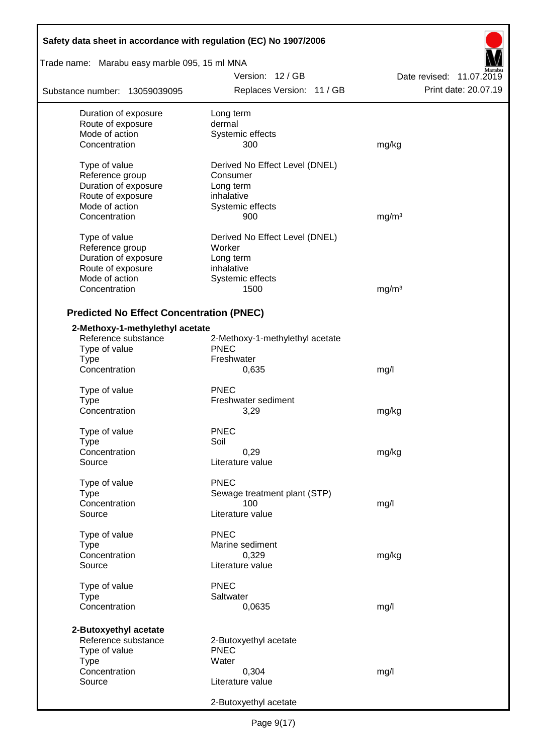| Safety data sheet in accordance with regulation (EC) No 1907/2006 |                                 |                          |  |  |  |  |
|-------------------------------------------------------------------|---------------------------------|--------------------------|--|--|--|--|
| Trade name: Marabu easy marble 095, 15 ml MNA                     |                                 |                          |  |  |  |  |
|                                                                   | Version: 12/GB                  | Date revised: 11.07.2019 |  |  |  |  |
| Substance number: 13059039095                                     | Replaces Version: 11 / GB       | Print date: 20.07.19     |  |  |  |  |
| Duration of exposure                                              | Long term                       |                          |  |  |  |  |
| Route of exposure                                                 | dermal                          |                          |  |  |  |  |
| Mode of action                                                    | Systemic effects                |                          |  |  |  |  |
| Concentration                                                     | 300                             | mg/kg                    |  |  |  |  |
| Type of value                                                     | Derived No Effect Level (DNEL)  |                          |  |  |  |  |
| Reference group                                                   | Consumer                        |                          |  |  |  |  |
| Duration of exposure                                              | Long term                       |                          |  |  |  |  |
| Route of exposure                                                 | inhalative                      |                          |  |  |  |  |
| Mode of action                                                    | Systemic effects                |                          |  |  |  |  |
| Concentration                                                     | 900                             | mg/m <sup>3</sup>        |  |  |  |  |
| Type of value                                                     | Derived No Effect Level (DNEL)  |                          |  |  |  |  |
| Reference group                                                   | Worker                          |                          |  |  |  |  |
| Duration of exposure                                              | Long term                       |                          |  |  |  |  |
| Route of exposure                                                 | inhalative                      |                          |  |  |  |  |
| Mode of action                                                    | Systemic effects                |                          |  |  |  |  |
| Concentration                                                     | 1500                            | mg/m <sup>3</sup>        |  |  |  |  |
| <b>Predicted No Effect Concentration (PNEC)</b>                   |                                 |                          |  |  |  |  |
| 2-Methoxy-1-methylethyl acetate                                   |                                 |                          |  |  |  |  |
| Reference substance                                               | 2-Methoxy-1-methylethyl acetate |                          |  |  |  |  |
| Type of value                                                     | <b>PNEC</b>                     |                          |  |  |  |  |
| <b>Type</b>                                                       | Freshwater                      |                          |  |  |  |  |
| Concentration                                                     | 0,635                           | mg/l                     |  |  |  |  |
| Type of value                                                     | <b>PNEC</b>                     |                          |  |  |  |  |
| <b>Type</b>                                                       | Freshwater sediment             |                          |  |  |  |  |
| Concentration                                                     | 3,29                            | mg/kg                    |  |  |  |  |
|                                                                   |                                 |                          |  |  |  |  |
| Type of value                                                     | <b>PNEC</b>                     |                          |  |  |  |  |
| Type                                                              | Soil                            |                          |  |  |  |  |
| Concentration                                                     | 0,29                            | mg/kg                    |  |  |  |  |
| Source                                                            | Literature value                |                          |  |  |  |  |
| Type of value                                                     | <b>PNEC</b>                     |                          |  |  |  |  |
| <b>Type</b>                                                       | Sewage treatment plant (STP)    |                          |  |  |  |  |
| Concentration                                                     | 100                             | mg/l                     |  |  |  |  |
| Source                                                            | Literature value                |                          |  |  |  |  |
| Type of value                                                     | <b>PNEC</b>                     |                          |  |  |  |  |
| Type                                                              | Marine sediment                 |                          |  |  |  |  |
| Concentration                                                     | 0,329                           | mg/kg                    |  |  |  |  |
| Source                                                            | Literature value                |                          |  |  |  |  |
| Type of value                                                     | <b>PNEC</b>                     |                          |  |  |  |  |
| <b>Type</b>                                                       | Saltwater                       |                          |  |  |  |  |
| Concentration                                                     | 0,0635                          | mg/l                     |  |  |  |  |
|                                                                   |                                 |                          |  |  |  |  |
| 2-Butoxyethyl acetate                                             |                                 |                          |  |  |  |  |
| Reference substance                                               | 2-Butoxyethyl acetate           |                          |  |  |  |  |
| Type of value                                                     | <b>PNEC</b><br>Water            |                          |  |  |  |  |
| <b>Type</b><br>Concentration                                      | 0,304                           | mg/l                     |  |  |  |  |
| Source                                                            | Literature value                |                          |  |  |  |  |
|                                                                   |                                 |                          |  |  |  |  |
|                                                                   | 2-Butoxyethyl acetate           |                          |  |  |  |  |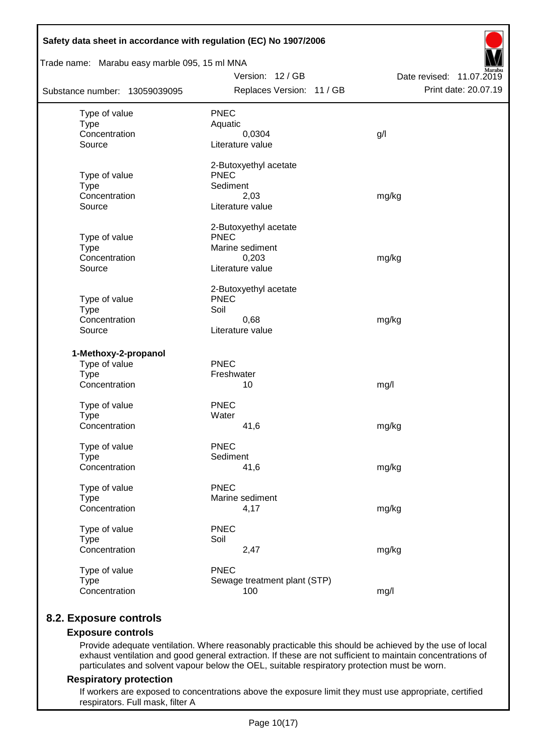| Trade name: Marabu easy marble 095, 15 ml MNA |                                      |                          |  |  |  |  |  |  |
|-----------------------------------------------|--------------------------------------|--------------------------|--|--|--|--|--|--|
|                                               | Version: 12 / GB                     | Date revised: 11.07.2019 |  |  |  |  |  |  |
| Substance number: 13059039095                 | Replaces Version: 11 / GB            | Print date: 20.07.19     |  |  |  |  |  |  |
| Type of value                                 | <b>PNEC</b>                          |                          |  |  |  |  |  |  |
| <b>Type</b>                                   | Aquatic                              |                          |  |  |  |  |  |  |
| Concentration                                 | 0,0304                               | g/l                      |  |  |  |  |  |  |
| Source                                        | Literature value                     |                          |  |  |  |  |  |  |
|                                               | 2-Butoxyethyl acetate                |                          |  |  |  |  |  |  |
| Type of value                                 | <b>PNEC</b>                          |                          |  |  |  |  |  |  |
| <b>Type</b>                                   | Sediment                             |                          |  |  |  |  |  |  |
| Concentration<br>Source                       | 2,03<br>Literature value             | mg/kg                    |  |  |  |  |  |  |
|                                               |                                      |                          |  |  |  |  |  |  |
|                                               | 2-Butoxyethyl acetate<br><b>PNEC</b> |                          |  |  |  |  |  |  |
| Type of value<br><b>Type</b>                  | Marine sediment                      |                          |  |  |  |  |  |  |
| Concentration                                 | 0,203                                | mg/kg                    |  |  |  |  |  |  |
| Source                                        | Literature value                     |                          |  |  |  |  |  |  |
|                                               | 2-Butoxyethyl acetate                |                          |  |  |  |  |  |  |
| Type of value                                 | <b>PNEC</b>                          |                          |  |  |  |  |  |  |
| <b>Type</b>                                   | Soil                                 |                          |  |  |  |  |  |  |
| Concentration                                 | 0,68                                 | mg/kg                    |  |  |  |  |  |  |
| Source                                        | Literature value                     |                          |  |  |  |  |  |  |
| 1-Methoxy-2-propanol                          |                                      |                          |  |  |  |  |  |  |
| Type of value                                 | PNEC                                 |                          |  |  |  |  |  |  |
| <b>Type</b>                                   | Freshwater                           |                          |  |  |  |  |  |  |
| Concentration                                 | 10                                   | mg/l                     |  |  |  |  |  |  |
| Type of value                                 | <b>PNEC</b>                          |                          |  |  |  |  |  |  |
| <b>Type</b>                                   | Water                                |                          |  |  |  |  |  |  |
| Concentration                                 | 41,6                                 | mg/kg                    |  |  |  |  |  |  |
| Type of value                                 | <b>PNEC</b>                          |                          |  |  |  |  |  |  |
| <b>Type</b>                                   | Sediment                             |                          |  |  |  |  |  |  |
| Concentration                                 | 41,6                                 | mg/kg                    |  |  |  |  |  |  |
| Type of value                                 | PNEC                                 |                          |  |  |  |  |  |  |
| <b>Type</b>                                   | Marine sediment                      |                          |  |  |  |  |  |  |
| Concentration                                 | 4,17                                 | mg/kg                    |  |  |  |  |  |  |
| Type of value                                 | <b>PNEC</b>                          |                          |  |  |  |  |  |  |
| <b>Type</b>                                   | Soil                                 |                          |  |  |  |  |  |  |
| Concentration                                 | 2,47                                 | mg/kg                    |  |  |  |  |  |  |
| Type of value                                 | <b>PNEC</b>                          |                          |  |  |  |  |  |  |
| <b>Type</b>                                   | Sewage treatment plant (STP)         |                          |  |  |  |  |  |  |
| Concentration                                 | 100                                  | mg/l                     |  |  |  |  |  |  |

# **8.2. Exposure controls**

### **Exposure controls**

Provide adequate ventilation. Where reasonably practicable this should be achieved by the use of local exhaust ventilation and good general extraction. If these are not sufficient to maintain concentrations of particulates and solvent vapour below the OEL, suitable respiratory protection must be worn.

#### **Respiratory protection**

If workers are exposed to concentrations above the exposure limit they must use appropriate, certified respirators. Full mask, filter A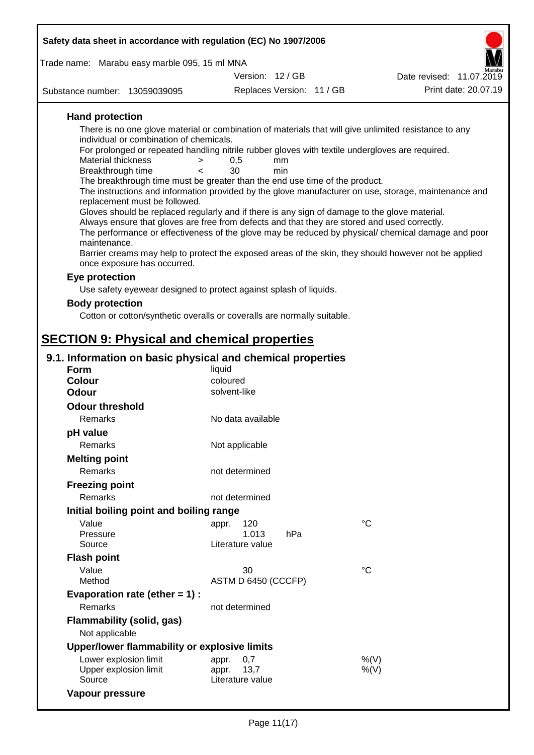| Safety data sheet in accordance with regulation (EC) No 1907/2006                                                                                                                                                                                                                                                                                                                                                                                                                                                                                                                                                                                                                                                                                                                                      |                                                   |                           |                                                                                                                                                                                                                                                                                                                    |  |  |  |
|--------------------------------------------------------------------------------------------------------------------------------------------------------------------------------------------------------------------------------------------------------------------------------------------------------------------------------------------------------------------------------------------------------------------------------------------------------------------------------------------------------------------------------------------------------------------------------------------------------------------------------------------------------------------------------------------------------------------------------------------------------------------------------------------------------|---------------------------------------------------|---------------------------|--------------------------------------------------------------------------------------------------------------------------------------------------------------------------------------------------------------------------------------------------------------------------------------------------------------------|--|--|--|
| Trade name: Marabu easy marble 095, 15 ml MNA                                                                                                                                                                                                                                                                                                                                                                                                                                                                                                                                                                                                                                                                                                                                                          |                                                   |                           |                                                                                                                                                                                                                                                                                                                    |  |  |  |
|                                                                                                                                                                                                                                                                                                                                                                                                                                                                                                                                                                                                                                                                                                                                                                                                        | Version: 12/GB                                    |                           | Date revised: 11.07.2019                                                                                                                                                                                                                                                                                           |  |  |  |
| Substance number: 13059039095                                                                                                                                                                                                                                                                                                                                                                                                                                                                                                                                                                                                                                                                                                                                                                          |                                                   | Replaces Version: 11 / GB | Print date: 20.07.19                                                                                                                                                                                                                                                                                               |  |  |  |
| <b>Hand protection</b><br>There is no one glove material or combination of materials that will give unlimited resistance to any<br>individual or combination of chemicals.<br>For prolonged or repeated handling nitrile rubber gloves with textile undergloves are required.<br>Material thickness<br>$\,>$<br>Breakthrough time<br>$\epsilon$<br>The breakthrough time must be greater than the end use time of the product.<br>replacement must be followed.<br>Gloves should be replaced regularly and if there is any sign of damage to the glove material.<br>Always ensure that gloves are free from defects and that they are stored and used correctly.<br>maintenance.<br>once exposure has occurred.<br>Eye protection<br>Use safety eyewear designed to protect against splash of liquids. | 0,5<br>30                                         | mm<br>min                 | The instructions and information provided by the glove manufacturer on use, storage, maintenance and<br>The performance or effectiveness of the glove may be reduced by physical/ chemical damage and poor<br>Barrier creams may help to protect the exposed areas of the skin, they should however not be applied |  |  |  |
| <b>Body protection</b>                                                                                                                                                                                                                                                                                                                                                                                                                                                                                                                                                                                                                                                                                                                                                                                 |                                                   |                           |                                                                                                                                                                                                                                                                                                                    |  |  |  |
| Cotton or cotton/synthetic overalls or coveralls are normally suitable.                                                                                                                                                                                                                                                                                                                                                                                                                                                                                                                                                                                                                                                                                                                                |                                                   |                           |                                                                                                                                                                                                                                                                                                                    |  |  |  |
|                                                                                                                                                                                                                                                                                                                                                                                                                                                                                                                                                                                                                                                                                                                                                                                                        |                                                   |                           |                                                                                                                                                                                                                                                                                                                    |  |  |  |
| <b>SECTION 9: Physical and chemical properties</b>                                                                                                                                                                                                                                                                                                                                                                                                                                                                                                                                                                                                                                                                                                                                                     |                                                   |                           |                                                                                                                                                                                                                                                                                                                    |  |  |  |
| 9.1. Information on basic physical and chemical properties                                                                                                                                                                                                                                                                                                                                                                                                                                                                                                                                                                                                                                                                                                                                             |                                                   |                           |                                                                                                                                                                                                                                                                                                                    |  |  |  |
| <b>Form</b>                                                                                                                                                                                                                                                                                                                                                                                                                                                                                                                                                                                                                                                                                                                                                                                            | liquid                                            |                           |                                                                                                                                                                                                                                                                                                                    |  |  |  |
| <b>Colour</b>                                                                                                                                                                                                                                                                                                                                                                                                                                                                                                                                                                                                                                                                                                                                                                                          | coloured                                          |                           |                                                                                                                                                                                                                                                                                                                    |  |  |  |
| <b>Odour</b>                                                                                                                                                                                                                                                                                                                                                                                                                                                                                                                                                                                                                                                                                                                                                                                           | solvent-like                                      |                           |                                                                                                                                                                                                                                                                                                                    |  |  |  |
| <b>Odour threshold</b>                                                                                                                                                                                                                                                                                                                                                                                                                                                                                                                                                                                                                                                                                                                                                                                 |                                                   |                           |                                                                                                                                                                                                                                                                                                                    |  |  |  |
| Remarks                                                                                                                                                                                                                                                                                                                                                                                                                                                                                                                                                                                                                                                                                                                                                                                                | No data available                                 |                           |                                                                                                                                                                                                                                                                                                                    |  |  |  |
| pH value                                                                                                                                                                                                                                                                                                                                                                                                                                                                                                                                                                                                                                                                                                                                                                                               |                                                   |                           |                                                                                                                                                                                                                                                                                                                    |  |  |  |
| Remarks                                                                                                                                                                                                                                                                                                                                                                                                                                                                                                                                                                                                                                                                                                                                                                                                | Not applicable                                    |                           |                                                                                                                                                                                                                                                                                                                    |  |  |  |
| <b>Melting point</b>                                                                                                                                                                                                                                                                                                                                                                                                                                                                                                                                                                                                                                                                                                                                                                                   |                                                   |                           |                                                                                                                                                                                                                                                                                                                    |  |  |  |
| Remarks                                                                                                                                                                                                                                                                                                                                                                                                                                                                                                                                                                                                                                                                                                                                                                                                | not determined                                    |                           |                                                                                                                                                                                                                                                                                                                    |  |  |  |
| <b>Freezing point</b>                                                                                                                                                                                                                                                                                                                                                                                                                                                                                                                                                                                                                                                                                                                                                                                  |                                                   |                           |                                                                                                                                                                                                                                                                                                                    |  |  |  |
| Remarks                                                                                                                                                                                                                                                                                                                                                                                                                                                                                                                                                                                                                                                                                                                                                                                                | not determined                                    |                           |                                                                                                                                                                                                                                                                                                                    |  |  |  |
| Initial boiling point and boiling range                                                                                                                                                                                                                                                                                                                                                                                                                                                                                                                                                                                                                                                                                                                                                                |                                                   |                           |                                                                                                                                                                                                                                                                                                                    |  |  |  |
| Value                                                                                                                                                                                                                                                                                                                                                                                                                                                                                                                                                                                                                                                                                                                                                                                                  | 120<br>appr.                                      |                           | $^{\circ}C$                                                                                                                                                                                                                                                                                                        |  |  |  |
| Pressure                                                                                                                                                                                                                                                                                                                                                                                                                                                                                                                                                                                                                                                                                                                                                                                               | 1.013                                             | hPa                       |                                                                                                                                                                                                                                                                                                                    |  |  |  |
| Source                                                                                                                                                                                                                                                                                                                                                                                                                                                                                                                                                                                                                                                                                                                                                                                                 | Literature value                                  |                           |                                                                                                                                                                                                                                                                                                                    |  |  |  |
| <b>Flash point</b>                                                                                                                                                                                                                                                                                                                                                                                                                                                                                                                                                                                                                                                                                                                                                                                     |                                                   |                           |                                                                                                                                                                                                                                                                                                                    |  |  |  |
| Value                                                                                                                                                                                                                                                                                                                                                                                                                                                                                                                                                                                                                                                                                                                                                                                                  | 30                                                |                           | $^{\circ}C$                                                                                                                                                                                                                                                                                                        |  |  |  |
| Method                                                                                                                                                                                                                                                                                                                                                                                                                                                                                                                                                                                                                                                                                                                                                                                                 | ASTM D 6450 (CCCFP)                               |                           |                                                                                                                                                                                                                                                                                                                    |  |  |  |
| Evaporation rate (ether $= 1$ ) :                                                                                                                                                                                                                                                                                                                                                                                                                                                                                                                                                                                                                                                                                                                                                                      |                                                   |                           |                                                                                                                                                                                                                                                                                                                    |  |  |  |
| Remarks                                                                                                                                                                                                                                                                                                                                                                                                                                                                                                                                                                                                                                                                                                                                                                                                | not determined                                    |                           |                                                                                                                                                                                                                                                                                                                    |  |  |  |
| Flammability (solid, gas)<br>Not applicable                                                                                                                                                                                                                                                                                                                                                                                                                                                                                                                                                                                                                                                                                                                                                            |                                                   |                           |                                                                                                                                                                                                                                                                                                                    |  |  |  |
| Upper/lower flammability or explosive limits                                                                                                                                                                                                                                                                                                                                                                                                                                                                                                                                                                                                                                                                                                                                                           |                                                   |                           |                                                                                                                                                                                                                                                                                                                    |  |  |  |
| Lower explosion limit<br>Upper explosion limit<br>Source                                                                                                                                                                                                                                                                                                                                                                                                                                                                                                                                                                                                                                                                                                                                               | 0,7<br>appr.<br>appr.<br>13,7<br>Literature value |                           | %(V)<br>%(V)                                                                                                                                                                                                                                                                                                       |  |  |  |
| Vapour pressure                                                                                                                                                                                                                                                                                                                                                                                                                                                                                                                                                                                                                                                                                                                                                                                        |                                                   |                           |                                                                                                                                                                                                                                                                                                                    |  |  |  |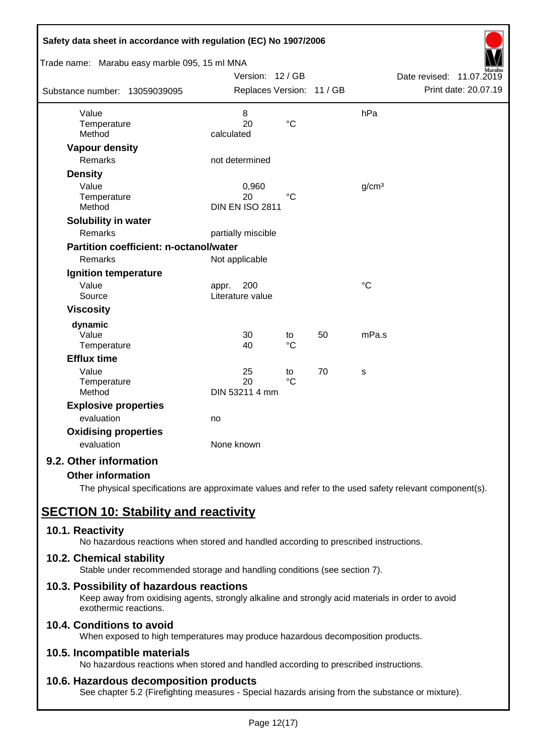| Safety data sheet in accordance with regulation (EC) No 1907/2006 |                                  |                       |    |                   |                             |
|-------------------------------------------------------------------|----------------------------------|-----------------------|----|-------------------|-----------------------------|
| Trade name: Marabu easy marble 095, 15 ml MNA                     |                                  |                       |    |                   |                             |
|                                                                   | Version: 12 / GB                 |                       |    |                   | Date revised:<br>11.07.2019 |
| Substance number: 13059039095                                     | Replaces Version: 11 / GB        |                       |    |                   | Print date: 20.07.19        |
| Value                                                             | 8                                |                       |    | hPa               |                             |
| Temperature<br>Method                                             | 20<br>calculated                 | $\rm ^{\circ}C$       |    |                   |                             |
| <b>Vapour density</b>                                             |                                  |                       |    |                   |                             |
| Remarks                                                           | not determined                   |                       |    |                   |                             |
| <b>Density</b>                                                    |                                  |                       |    |                   |                             |
| Value                                                             | 0,960                            |                       |    | g/cm <sup>3</sup> |                             |
| Temperature                                                       | 20                               | $^{\circ}C$           |    |                   |                             |
| Method                                                            | <b>DIN EN ISO 2811</b>           |                       |    |                   |                             |
| Solubility in water                                               |                                  |                       |    |                   |                             |
| Remarks                                                           | partially miscible               |                       |    |                   |                             |
| <b>Partition coefficient: n-octanol/water</b>                     |                                  |                       |    |                   |                             |
| Remarks                                                           | Not applicable                   |                       |    |                   |                             |
| <b>Ignition temperature</b>                                       |                                  |                       |    |                   |                             |
| Value<br>Source                                                   | 200<br>appr.<br>Literature value |                       |    | $\rm ^{\circ}C$   |                             |
| <b>Viscosity</b>                                                  |                                  |                       |    |                   |                             |
| dynamic                                                           |                                  |                       |    |                   |                             |
| Value                                                             | 30                               | to                    | 50 | mPa.s             |                             |
| Temperature                                                       | 40                               | $\rm ^{\circ}C$       |    |                   |                             |
| <b>Efflux time</b>                                                |                                  |                       |    |                   |                             |
| Value<br>Temperature                                              | 25<br>20                         | to<br>$\rm ^{\circ}C$ | 70 | S                 |                             |
| Method                                                            | DIN 53211 4 mm                   |                       |    |                   |                             |
| <b>Explosive properties</b>                                       |                                  |                       |    |                   |                             |
| evaluation                                                        | no                               |                       |    |                   |                             |
| <b>Oxidising properties</b>                                       |                                  |                       |    |                   |                             |
| evaluation                                                        | None known                       |                       |    |                   |                             |
| 9.2. Other information                                            |                                  |                       |    |                   |                             |

## **Other information**

The physical specifications are approximate values and refer to the used safety relevant component(s).

# **SECTION 10: Stability and reactivity**

### **10.1. Reactivity**

No hazardous reactions when stored and handled according to prescribed instructions.

### **10.2. Chemical stability**

Stable under recommended storage and handling conditions (see section 7).

### **10.3. Possibility of hazardous reactions**

Keep away from oxidising agents, strongly alkaline and strongly acid materials in order to avoid exothermic reactions.

# **10.4. Conditions to avoid**

When exposed to high temperatures may produce hazardous decomposition products.

### **10.5. Incompatible materials**

No hazardous reactions when stored and handled according to prescribed instructions.

### **10.6. Hazardous decomposition products**

See chapter 5.2 (Firefighting measures - Special hazards arising from the substance or mixture).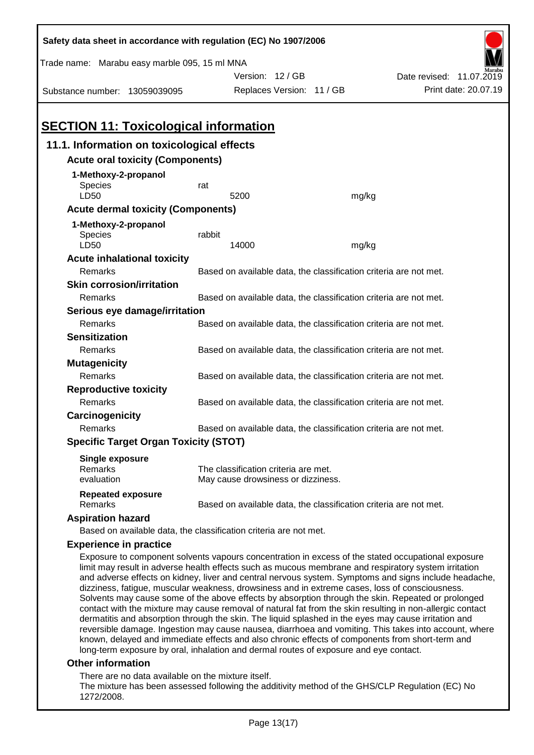| Safety data sheet in accordance with regulation (EC) No 1907/2006                                                                                                                                                                                                                                                                                                                                                                                                                                                                                                                                                                                                                                                                                |                                                                   |                                                                   |       |                          |  |  |
|--------------------------------------------------------------------------------------------------------------------------------------------------------------------------------------------------------------------------------------------------------------------------------------------------------------------------------------------------------------------------------------------------------------------------------------------------------------------------------------------------------------------------------------------------------------------------------------------------------------------------------------------------------------------------------------------------------------------------------------------------|-------------------------------------------------------------------|-------------------------------------------------------------------|-------|--------------------------|--|--|
| Trade name: Marabu easy marble 095, 15 ml MNA                                                                                                                                                                                                                                                                                                                                                                                                                                                                                                                                                                                                                                                                                                    |                                                                   |                                                                   |       |                          |  |  |
|                                                                                                                                                                                                                                                                                                                                                                                                                                                                                                                                                                                                                                                                                                                                                  |                                                                   | Version: 12 / GB                                                  |       | Date revised: 11.07.2019 |  |  |
| Substance number: 13059039095                                                                                                                                                                                                                                                                                                                                                                                                                                                                                                                                                                                                                                                                                                                    |                                                                   | Replaces Version: 11 / GB                                         |       | Print date: 20.07.19     |  |  |
| <b>SECTION 11: Toxicological information</b>                                                                                                                                                                                                                                                                                                                                                                                                                                                                                                                                                                                                                                                                                                     |                                                                   |                                                                   |       |                          |  |  |
| 11.1. Information on toxicological effects                                                                                                                                                                                                                                                                                                                                                                                                                                                                                                                                                                                                                                                                                                       |                                                                   |                                                                   |       |                          |  |  |
| <b>Acute oral toxicity (Components)</b>                                                                                                                                                                                                                                                                                                                                                                                                                                                                                                                                                                                                                                                                                                          |                                                                   |                                                                   |       |                          |  |  |
| 1-Methoxy-2-propanol<br><b>Species</b><br>LD50                                                                                                                                                                                                                                                                                                                                                                                                                                                                                                                                                                                                                                                                                                   | rat                                                               | 5200                                                              | mg/kg |                          |  |  |
| <b>Acute dermal toxicity (Components)</b>                                                                                                                                                                                                                                                                                                                                                                                                                                                                                                                                                                                                                                                                                                        |                                                                   |                                                                   |       |                          |  |  |
| 1-Methoxy-2-propanol                                                                                                                                                                                                                                                                                                                                                                                                                                                                                                                                                                                                                                                                                                                             |                                                                   |                                                                   |       |                          |  |  |
| Species<br>LD50                                                                                                                                                                                                                                                                                                                                                                                                                                                                                                                                                                                                                                                                                                                                  | rabbit                                                            | 14000                                                             | mg/kg |                          |  |  |
| <b>Acute inhalational toxicity</b>                                                                                                                                                                                                                                                                                                                                                                                                                                                                                                                                                                                                                                                                                                               |                                                                   |                                                                   |       |                          |  |  |
| Remarks                                                                                                                                                                                                                                                                                                                                                                                                                                                                                                                                                                                                                                                                                                                                          |                                                                   | Based on available data, the classification criteria are not met. |       |                          |  |  |
| <b>Skin corrosion/irritation</b>                                                                                                                                                                                                                                                                                                                                                                                                                                                                                                                                                                                                                                                                                                                 |                                                                   |                                                                   |       |                          |  |  |
| Remarks                                                                                                                                                                                                                                                                                                                                                                                                                                                                                                                                                                                                                                                                                                                                          |                                                                   | Based on available data, the classification criteria are not met. |       |                          |  |  |
| Serious eye damage/irritation                                                                                                                                                                                                                                                                                                                                                                                                                                                                                                                                                                                                                                                                                                                    |                                                                   |                                                                   |       |                          |  |  |
| Remarks                                                                                                                                                                                                                                                                                                                                                                                                                                                                                                                                                                                                                                                                                                                                          |                                                                   | Based on available data, the classification criteria are not met. |       |                          |  |  |
| <b>Sensitization</b>                                                                                                                                                                                                                                                                                                                                                                                                                                                                                                                                                                                                                                                                                                                             |                                                                   |                                                                   |       |                          |  |  |
| Remarks                                                                                                                                                                                                                                                                                                                                                                                                                                                                                                                                                                                                                                                                                                                                          | Based on available data, the classification criteria are not met. |                                                                   |       |                          |  |  |
| <b>Mutagenicity</b>                                                                                                                                                                                                                                                                                                                                                                                                                                                                                                                                                                                                                                                                                                                              |                                                                   |                                                                   |       |                          |  |  |
| Remarks                                                                                                                                                                                                                                                                                                                                                                                                                                                                                                                                                                                                                                                                                                                                          |                                                                   | Based on available data, the classification criteria are not met. |       |                          |  |  |
|                                                                                                                                                                                                                                                                                                                                                                                                                                                                                                                                                                                                                                                                                                                                                  | <b>Reproductive toxicity</b>                                      |                                                                   |       |                          |  |  |
| Remarks                                                                                                                                                                                                                                                                                                                                                                                                                                                                                                                                                                                                                                                                                                                                          |                                                                   | Based on available data, the classification criteria are not met. |       |                          |  |  |
|                                                                                                                                                                                                                                                                                                                                                                                                                                                                                                                                                                                                                                                                                                                                                  | Carcinogenicity                                                   |                                                                   |       |                          |  |  |
| Remarks                                                                                                                                                                                                                                                                                                                                                                                                                                                                                                                                                                                                                                                                                                                                          |                                                                   | Based on available data, the classification criteria are not met. |       |                          |  |  |
| <b>Specific Target Organ Toxicity (STOT)</b>                                                                                                                                                                                                                                                                                                                                                                                                                                                                                                                                                                                                                                                                                                     |                                                                   |                                                                   |       |                          |  |  |
| <b>Single exposure</b>                                                                                                                                                                                                                                                                                                                                                                                                                                                                                                                                                                                                                                                                                                                           |                                                                   |                                                                   |       |                          |  |  |
| Remarks                                                                                                                                                                                                                                                                                                                                                                                                                                                                                                                                                                                                                                                                                                                                          |                                                                   | The classification criteria are met.                              |       |                          |  |  |
| evaluation                                                                                                                                                                                                                                                                                                                                                                                                                                                                                                                                                                                                                                                                                                                                       |                                                                   | May cause drowsiness or dizziness.                                |       |                          |  |  |
| <b>Repeated exposure</b><br>Remarks                                                                                                                                                                                                                                                                                                                                                                                                                                                                                                                                                                                                                                                                                                              |                                                                   | Based on available data, the classification criteria are not met. |       |                          |  |  |
| <b>Aspiration hazard</b>                                                                                                                                                                                                                                                                                                                                                                                                                                                                                                                                                                                                                                                                                                                         |                                                                   |                                                                   |       |                          |  |  |
| Based on available data, the classification criteria are not met.                                                                                                                                                                                                                                                                                                                                                                                                                                                                                                                                                                                                                                                                                |                                                                   |                                                                   |       |                          |  |  |
| <b>Experience in practice</b>                                                                                                                                                                                                                                                                                                                                                                                                                                                                                                                                                                                                                                                                                                                    |                                                                   |                                                                   |       |                          |  |  |
| Exposure to component solvents vapours concentration in excess of the stated occupational exposure<br>limit may result in adverse health effects such as mucous membrane and respiratory system irritation<br>and adverse effects on kidney, liver and central nervous system. Symptoms and signs include headache,<br>dizziness, fatigue, muscular weakness, drowsiness and in extreme cases, loss of consciousness.<br>Solvents may cause some of the above effects by absorption through the skin. Repeated or prolonged<br>contact with the mixture may cause removal of natural fat from the skin resulting in non-allergic contact<br>dermatitis and absorption through the skin. The liquid splashed in the eyes may cause irritation and |                                                                   |                                                                   |       |                          |  |  |

reversible damage. Ingestion may cause nausea, diarrhoea and vomiting. This takes into account, where known, delayed and immediate effects and also chronic effects of components from short-term and long-term exposure by oral, inhalation and dermal routes of exposure and eye contact.

### **Other information**

There are no data available on the mixture itself.

The mixture has been assessed following the additivity method of the GHS/CLP Regulation (EC) No 1272/2008.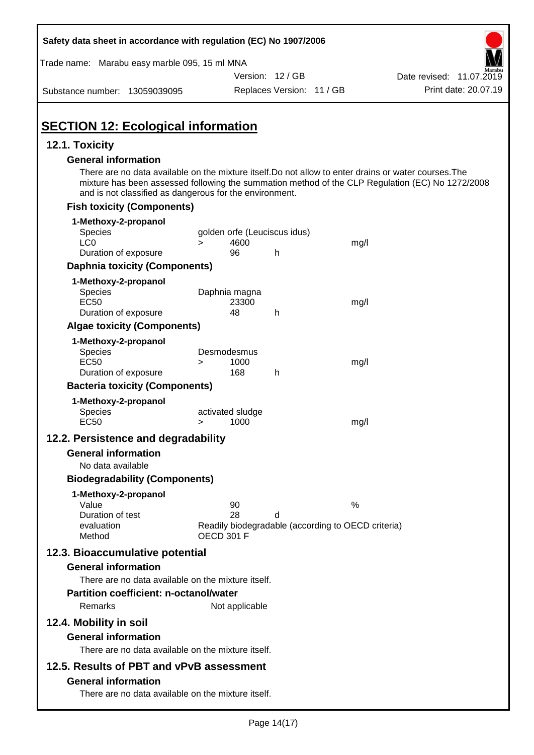| Safety data sheet in accordance with regulation (EC) No 1907/2006                                                                                                                              |                                                                                     |                           |      |                                                                                                  |
|------------------------------------------------------------------------------------------------------------------------------------------------------------------------------------------------|-------------------------------------------------------------------------------------|---------------------------|------|--------------------------------------------------------------------------------------------------|
| Trade name: Marabu easy marble 095, 15 ml MNA                                                                                                                                                  |                                                                                     |                           |      |                                                                                                  |
|                                                                                                                                                                                                |                                                                                     | Version: 12 / GB          |      | Date revised: 11.07.2019                                                                         |
| Substance number: 13059039095                                                                                                                                                                  |                                                                                     | Replaces Version: 11 / GB |      | Print date: 20.07.19                                                                             |
| <b>SECTION 12: Ecological information</b>                                                                                                                                                      |                                                                                     |                           |      |                                                                                                  |
| 12.1. Toxicity                                                                                                                                                                                 |                                                                                     |                           |      |                                                                                                  |
| <b>General information</b><br>There are no data available on the mixture itself. Do not allow to enter drains or water courses. The<br>and is not classified as dangerous for the environment. |                                                                                     |                           |      | mixture has been assessed following the summation method of the CLP Regulation (EC) No 1272/2008 |
| <b>Fish toxicity (Components)</b>                                                                                                                                                              |                                                                                     |                           |      |                                                                                                  |
| 1-Methoxy-2-propanol<br><b>Species</b><br>LC <sub>0</sub>                                                                                                                                      | golden orfe (Leuciscus idus)<br>4600<br>$\geq$                                      |                           | mg/l |                                                                                                  |
| Duration of exposure                                                                                                                                                                           | 96                                                                                  | h                         |      |                                                                                                  |
| <b>Daphnia toxicity (Components)</b>                                                                                                                                                           |                                                                                     |                           |      |                                                                                                  |
| 1-Methoxy-2-propanol<br><b>Species</b><br><b>EC50</b><br>Duration of exposure                                                                                                                  | Daphnia magna<br>23300<br>48                                                        | h                         | mg/l |                                                                                                  |
| <b>Algae toxicity (Components)</b>                                                                                                                                                             |                                                                                     |                           |      |                                                                                                  |
| 1-Methoxy-2-propanol<br><b>Species</b><br><b>EC50</b><br>Duration of exposure                                                                                                                  | Desmodesmus<br>1000<br>$\geq$<br>168                                                | h                         | mg/l |                                                                                                  |
| <b>Bacteria toxicity (Components)</b>                                                                                                                                                          |                                                                                     |                           |      |                                                                                                  |
| 1-Methoxy-2-propanol<br>Species<br><b>EC50</b>                                                                                                                                                 | activated sludge<br>1000<br>>                                                       |                           | mg/l |                                                                                                  |
| 12.2. Persistence and degradability                                                                                                                                                            |                                                                                     |                           |      |                                                                                                  |
| <b>General information</b>                                                                                                                                                                     |                                                                                     |                           |      |                                                                                                  |
| No data available                                                                                                                                                                              |                                                                                     |                           |      |                                                                                                  |
| <b>Biodegradability (Components)</b>                                                                                                                                                           |                                                                                     |                           |      |                                                                                                  |
| 1-Methoxy-2-propanol<br>Value<br>Duration of test<br>evaluation<br>Method                                                                                                                      | 90<br>28<br>Readily biodegradable (according to OECD criteria)<br><b>OECD 301 F</b> | d                         | %    |                                                                                                  |
| 12.3. Bioaccumulative potential<br><b>General information</b>                                                                                                                                  |                                                                                     |                           |      |                                                                                                  |
| There are no data available on the mixture itself.                                                                                                                                             |                                                                                     |                           |      |                                                                                                  |
| <b>Partition coefficient: n-octanol/water</b>                                                                                                                                                  |                                                                                     |                           |      |                                                                                                  |
| Remarks                                                                                                                                                                                        | Not applicable                                                                      |                           |      |                                                                                                  |
| 12.4. Mobility in soil                                                                                                                                                                         |                                                                                     |                           |      |                                                                                                  |
| <b>General information</b><br>There are no data available on the mixture itself.                                                                                                               |                                                                                     |                           |      |                                                                                                  |
| 12.5. Results of PBT and vPvB assessment                                                                                                                                                       |                                                                                     |                           |      |                                                                                                  |
| <b>General information</b><br>There are no data available on the mixture itself.                                                                                                               |                                                                                     |                           |      |                                                                                                  |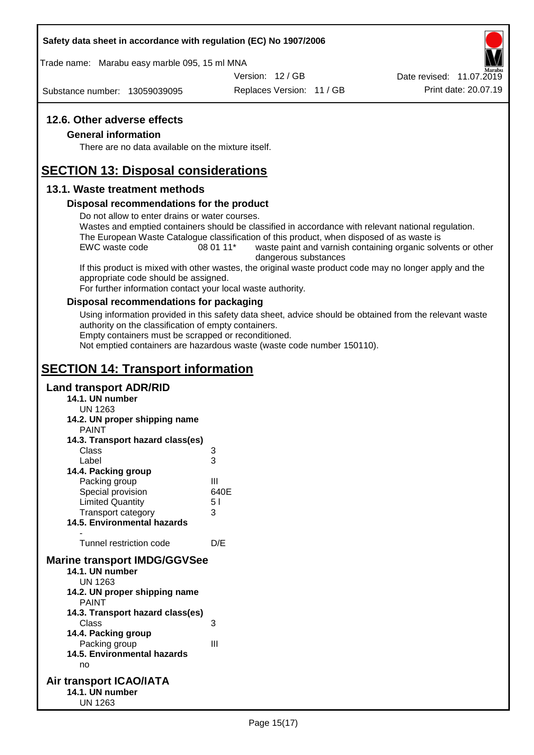### **Safety data sheet in accordance with regulation (EC) No 1907/2006**

Trade name: Marabu easy marble 095, 15 ml MNA

Version: 12 / GB

Substance number: 13059039095

Replaces Version: 11 / GB Print date: 20.07.19 Date revised: 11.07.2019

### **12.6. Other adverse effects**

#### **General information**

There are no data available on the mixture itself.

# **SECTION 13: Disposal considerations**

### **13.1. Waste treatment methods**

#### **Disposal recommendations for the product**

Do not allow to enter drains or water courses.

Wastes and emptied containers should be classified in accordance with relevant national regulation. The European Waste Catalogue classification of this product, when disposed of as waste is

EWC waste code 08 01 11<sup>\*</sup> waste paint and varnish containing organic solvents or other dangerous substances

If this product is mixed with other wastes, the original waste product code may no longer apply and the appropriate code should be assigned.

For further information contact your local waste authority.

### **Disposal recommendations for packaging**

Using information provided in this safety data sheet, advice should be obtained from the relevant waste authority on the classification of empty containers.

Empty containers must be scrapped or reconditioned.

Not emptied containers are hazardous waste (waste code number 150110).

# **SECTION 14: Transport information**

### **Land transport ADR/RID**

- **14.1. UN number**
	- UN 1263
- **14.2. UN proper shipping name**

| PAINT |  |  |
|-------|--|--|
|       |  |  |

| 14.3. Transport hazard class(es)    |      |
|-------------------------------------|------|
| Class                               | 3    |
| Label                               | 3    |
| 14.4. Packing group                 |      |
| Packing group                       | Ш    |
| Special provision                   | 640E |
| <b>Limited Quantity</b>             | 51   |
| <b>Transport category</b>           | 3    |
| 14.5. Environmental hazards         |      |
|                                     |      |
| Tunnel restriction code             | D/E  |
| <b>Marine transport IMDG/GGVSee</b> |      |
| 14.1. UN number                     |      |
| UN 1263                             |      |
| 14.2. UN proper shipping name       |      |
| PAINT                               |      |
| 14.3. Transport hazard class(es)    |      |
| Class                               | 3    |
|                                     |      |

- **14.4. Packing group** Packing group III **14.5. Environmental hazards** no
- **Air transport ICAO/IATA 14.1. UN number** UN 1263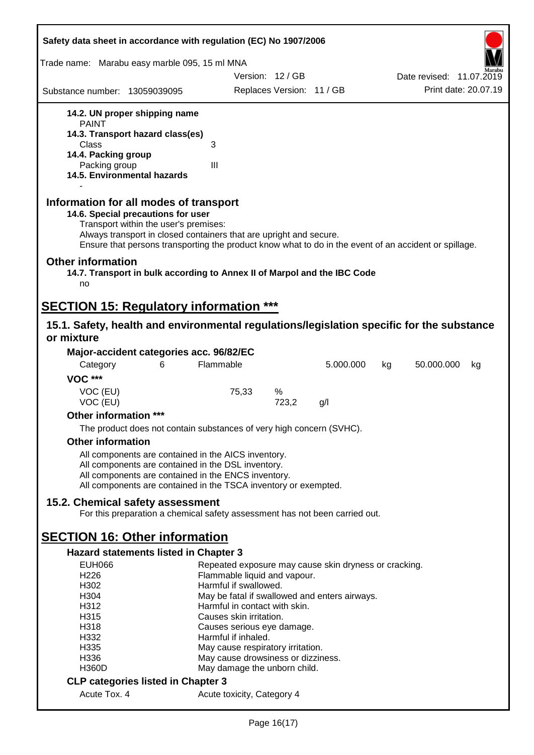| Safety data sheet in accordance with regulation (EC) No 1907/2006                                                                                                                                                                                                                                    |                                                          |                           |                                                       |                          |  |
|------------------------------------------------------------------------------------------------------------------------------------------------------------------------------------------------------------------------------------------------------------------------------------------------------|----------------------------------------------------------|---------------------------|-------------------------------------------------------|--------------------------|--|
| Trade name: Marabu easy marble 095, 15 ml MNA                                                                                                                                                                                                                                                        |                                                          |                           |                                                       |                          |  |
|                                                                                                                                                                                                                                                                                                      |                                                          | Version: 12 / GB          |                                                       | Date revised: 11.07.2019 |  |
| Substance number: 13059039095                                                                                                                                                                                                                                                                        |                                                          | Replaces Version: 11 / GB |                                                       | Print date: 20.07.19     |  |
| 14.2. UN proper shipping name<br><b>PAINT</b>                                                                                                                                                                                                                                                        |                                                          |                           |                                                       |                          |  |
| 14.3. Transport hazard class(es)                                                                                                                                                                                                                                                                     |                                                          |                           |                                                       |                          |  |
| Class<br>14.4. Packing group                                                                                                                                                                                                                                                                         | 3                                                        |                           |                                                       |                          |  |
| Packing group                                                                                                                                                                                                                                                                                        | III                                                      |                           |                                                       |                          |  |
| 14.5. Environmental hazards                                                                                                                                                                                                                                                                          |                                                          |                           |                                                       |                          |  |
| Information for all modes of transport<br>14.6. Special precautions for user<br>Transport within the user's premises:<br>Always transport in closed containers that are upright and secure.<br>Ensure that persons transporting the product know what to do in the event of an accident or spillage. |                                                          |                           |                                                       |                          |  |
| <b>Other information</b><br>14.7. Transport in bulk according to Annex II of Marpol and the IBC Code<br>no                                                                                                                                                                                           |                                                          |                           |                                                       |                          |  |
| <b>SECTION 15: Regulatory information ***</b>                                                                                                                                                                                                                                                        |                                                          |                           |                                                       |                          |  |
| 15.1. Safety, health and environmental regulations/legislation specific for the substance<br>or mixture                                                                                                                                                                                              |                                                          |                           |                                                       |                          |  |
| Major-accident categories acc. 96/82/EC                                                                                                                                                                                                                                                              |                                                          |                           |                                                       |                          |  |
| Category<br>6                                                                                                                                                                                                                                                                                        | Flammable                                                |                           | 5.000.000                                             | 50.000.000<br>kg<br>kg   |  |
| <b>VOC ***</b>                                                                                                                                                                                                                                                                                       |                                                          |                           |                                                       |                          |  |
| VOC (EU)                                                                                                                                                                                                                                                                                             | 75,33                                                    | %                         |                                                       |                          |  |
| VOC (EU)                                                                                                                                                                                                                                                                                             |                                                          | 723,2                     | g/l                                                   |                          |  |
| Other information ***                                                                                                                                                                                                                                                                                |                                                          |                           |                                                       |                          |  |
| The product does not contain substances of very high concern (SVHC).                                                                                                                                                                                                                                 |                                                          |                           |                                                       |                          |  |
| <b>Other information</b>                                                                                                                                                                                                                                                                             |                                                          |                           |                                                       |                          |  |
| All components are contained in the AICS inventory.                                                                                                                                                                                                                                                  |                                                          |                           |                                                       |                          |  |
| All components are contained in the DSL inventory.                                                                                                                                                                                                                                                   |                                                          |                           |                                                       |                          |  |
| All components are contained in the ENCS inventory.<br>All components are contained in the TSCA inventory or exempted.                                                                                                                                                                               |                                                          |                           |                                                       |                          |  |
|                                                                                                                                                                                                                                                                                                      |                                                          |                           |                                                       |                          |  |
| 15.2. Chemical safety assessment<br>For this preparation a chemical safety assessment has not been carried out.                                                                                                                                                                                      |                                                          |                           |                                                       |                          |  |
| <b>SECTION 16: Other information</b>                                                                                                                                                                                                                                                                 |                                                          |                           |                                                       |                          |  |
| Hazard statements listed in Chapter 3                                                                                                                                                                                                                                                                |                                                          |                           |                                                       |                          |  |
| <b>EUH066</b>                                                                                                                                                                                                                                                                                        |                                                          |                           | Repeated exposure may cause skin dryness or cracking. |                          |  |
| H <sub>226</sub>                                                                                                                                                                                                                                                                                     | Flammable liquid and vapour.                             |                           |                                                       |                          |  |
| H302                                                                                                                                                                                                                                                                                                 | Harmful if swallowed.                                    |                           |                                                       |                          |  |
| H304                                                                                                                                                                                                                                                                                                 |                                                          |                           | May be fatal if swallowed and enters airways.         |                          |  |
| H312<br>H315                                                                                                                                                                                                                                                                                         | Harmful in contact with skin.<br>Causes skin irritation. |                           |                                                       |                          |  |
| H318                                                                                                                                                                                                                                                                                                 | Causes serious eye damage.                               |                           |                                                       |                          |  |
| H332                                                                                                                                                                                                                                                                                                 | Harmful if inhaled.                                      |                           |                                                       |                          |  |
| H335                                                                                                                                                                                                                                                                                                 | May cause respiratory irritation.                        |                           |                                                       |                          |  |
| H336                                                                                                                                                                                                                                                                                                 | May cause drowsiness or dizziness.                       |                           |                                                       |                          |  |
| <b>H360D</b>                                                                                                                                                                                                                                                                                         | May damage the unborn child.                             |                           |                                                       |                          |  |
| <b>CLP categories listed in Chapter 3</b>                                                                                                                                                                                                                                                            |                                                          |                           |                                                       |                          |  |
| Acute Tox. 4                                                                                                                                                                                                                                                                                         | Acute toxicity, Category 4                               |                           |                                                       |                          |  |